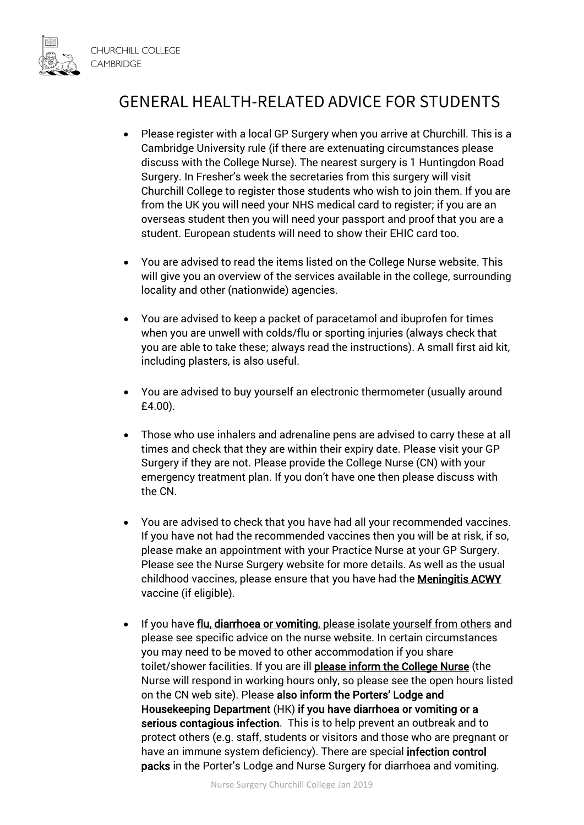

## GENERAL HEALTH-RELATED ADVICE FOR STUDENTS

- Please register with a local GP Surgery when you arrive at Churchill. This is a Cambridge University rule (if there are extenuating circumstances please discuss with the College Nurse). The nearest surgery is 1 Huntingdon Road Surgery. In Fresher's week the secretaries from this surgery will visit Churchill College to register those students who wish to join them. If you are from the UK you will need your NHS medical card to register; if you are an overseas student then you will need your passport and proof that you are a student. European students will need to show their EHIC card too.
- You are advised to read the items listed on the College Nurse website. This will give you an overview of the services available in the college, surrounding locality and other (nationwide) agencies.
- You are advised to keep a packet of paracetamol and ibuprofen for times when you are unwell with colds/flu or sporting injuries (always check that you are able to take these; always read the instructions). A small first aid kit, including plasters, is also useful.
- You are advised to buy yourself an electronic thermometer (usually around £4.00).
- Those who use inhalers and adrenaline pens are advised to carry these at all times and check that they are within their expiry date. Please visit your GP Surgery if they are not. Please provide the College Nurse (CN) with your emergency treatment plan. If you don't have one then please discuss with the CN.
- You are advised to check that you have had all your recommended vaccines. If you have not had the recommended vaccines then you will be at risk, if so, please make an appointment with your Practice Nurse at your GP Surgery. Please see the Nurse Surgery website for more details. As well as the usual childhood vaccines, please ensure that you have had the **Meningitis ACWY** vaccine (if eligible).
- If you have flu, diarrhoea or vomiting, please isolate yourself from others and please see specific advice on the nurse website. In certain circumstances you may need to be moved to other accommodation if you share toilet/shower facilities. If you are ill please inform the College Nurse (the Nurse will respond in working hours only, so please see the open hours listed on the CN web site). Please also inform the Porters' Lodge and Housekeeping Department (HK) if you have diarrhoea or vomiting or a serious contagious infection. This is to help prevent an outbreak and to protect others (e.g. staff, students or visitors and those who are pregnant or have an immune system deficiency). There are special infection control packs in the Porter's Lodge and Nurse Surgery for diarrhoea and vomiting.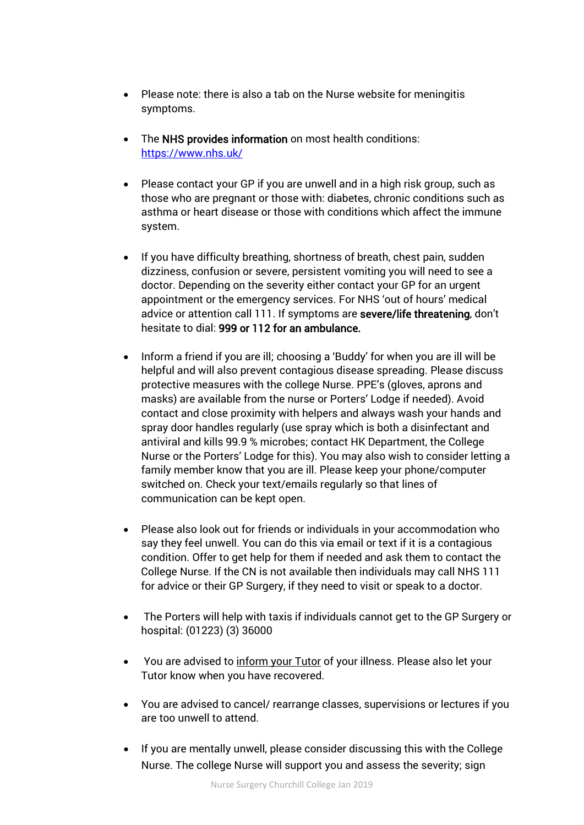- Please note: there is also a tab on the Nurse website for meningitis symptoms.
- The NHS provides information on most health conditions: <https://www.nhs.uk/>
- Please contact your GP if you are unwell and in a high risk group, such as those who are pregnant or those with: diabetes, chronic conditions such as asthma or heart disease or those with conditions which affect the immune system.
- If you have difficulty breathing, shortness of breath, chest pain, sudden dizziness, confusion or severe, persistent vomiting you will need to see a doctor. Depending on the severity either contact your GP for an urgent appointment or the emergency services. For NHS 'out of hours' medical advice or attention call 111. If symptoms are severe/life threatening, don't hesitate to dial: 999 or 112 for an ambulance.
- Inform a friend if you are ill; choosing a 'Buddy' for when you are ill will be helpful and will also prevent contagious disease spreading. Please discuss protective measures with the college Nurse. PPE's (gloves, aprons and masks) are available from the nurse or Porters' Lodge if needed). Avoid contact and close proximity with helpers and always wash your hands and spray door handles regularly (use spray which is both a disinfectant and antiviral and kills 99.9 % microbes; contact HK Department, the College Nurse or the Porters' Lodge for this). You may also wish to consider letting a family member know that you are ill. Please keep your phone/computer switched on. Check your text/emails regularly so that lines of communication can be kept open.
- Please also look out for friends or individuals in your accommodation who say they feel unwell. You can do this via email or text if it is a contagious condition. Offer to get help for them if needed and ask them to contact the College Nurse. If the CN is not available then individuals may call NHS 111 for advice or their GP Surgery, if they need to visit or speak to a doctor.
- The Porters will help with taxis if individuals cannot get to the GP Surgery or hospital: (01223) (3) 36000
- You are advised to inform your Tutor of your illness. Please also let your Tutor know when you have recovered.
- You are advised to cancel/ rearrange classes, supervisions or lectures if you are too unwell to attend.
- If you are mentally unwell, please consider discussing this with the College Nurse. The college Nurse will support you and assess the severity; sign